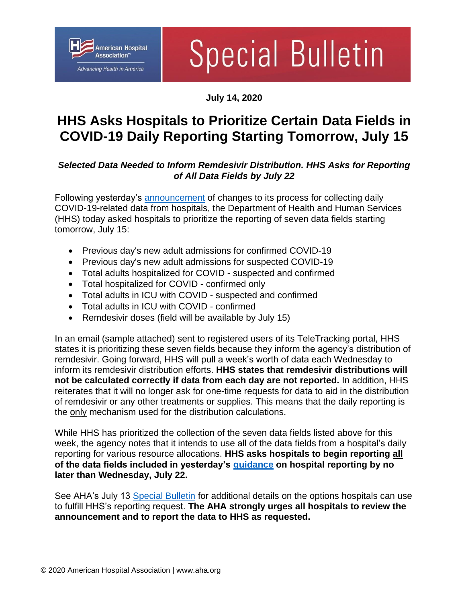

# **Special Bulletin**

### **July 14, 2020**

## **HHS Asks Hospitals to Prioritize Certain Data Fields in COVID-19 Daily Reporting Starting Tomorrow, July 15**

## *Selected Data Needed to Inform Remdesivir Distribution. HHS Asks for Reporting of All Data Fields by July 22*

Following yesterday's [announcement](https://www.aha.org/special-bulletin/2020-07-13-hhs-makes-significant-changes-covid-19-daily-data-reporting-process) of changes to its process for collecting daily COVID-19-related data from hospitals, the Department of Health and Human Services (HHS) today asked hospitals to prioritize the reporting of seven data fields starting tomorrow, July 15:

- Previous day's new adult admissions for confirmed COVID-19
- Previous day's new adult admissions for suspected COVID-19
- Total adults hospitalized for COVID suspected and confirmed
- Total hospitalized for COVID confirmed only
- Total adults in ICU with COVID suspected and confirmed
- Total adults in ICU with COVID confirmed
- Remdesivir doses (field will be available by July 15)

In an email (sample attached) sent to registered users of its TeleTracking portal, HHS states it is prioritizing these seven fields because they inform the agency's distribution of remdesivir. Going forward, HHS will pull a week's worth of data each Wednesday to inform its remdesivir distribution efforts. **HHS states that remdesivir distributions will not be calculated correctly if data from each day are not reported.** In addition, HHS reiterates that it will no longer ask for one-time requests for data to aid in the distribution of remdesivir or any other treatments or supplies. This means that the daily reporting is the only mechanism used for the distribution calculations.

While HHS has prioritized the collection of the seven data fields listed above for this week, the agency notes that it intends to use all of the data fields from a hospital's daily reporting for various resource allocations. **HHS asks hospitals to begin reporting all of the data fields included in yesterday's [guidance](https://www.hhs.gov/sites/default/files/covid-19-faqs-hospitals-hospital-laboratory-acute-care-facility-data-reporting.pdf) on hospital reporting by no later than Wednesday, July 22.** 

See AHA's July 13 [Special Bulletin](https://www.aha.org/special-bulletin/2020-07-13-hhs-makes-significant-changes-covid-19-daily-data-reporting-process) for additional details on the options hospitals can use to fulfill HHS's reporting request. **The AHA strongly urges all hospitals to review the announcement and to report the data to HHS as requested.**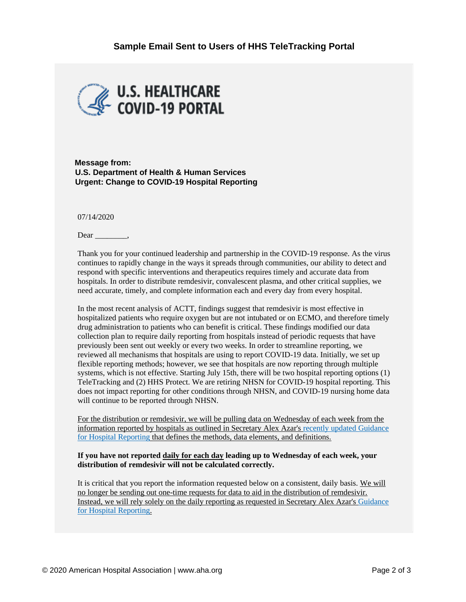

**Message from: U.S. Department of Health & Human Services Urgent: Change to COVID-19 Hospital Reporting** 

07/14/2020

Dear .

Thank you for your continued leadership and partnership in the COVID-19 response. As the virus continues to rapidly change in the ways it spreads through communities, our ability to detect and respond with specific interventions and therapeutics requires timely and accurate data from hospitals. In order to distribute remdesivir, convalescent plasma, and other critical supplies, we need accurate, timely, and complete information each and every day from every hospital.

In the most recent analysis of ACTT, findings suggest that remdesivir is most effective in hospitalized patients who require oxygen but are not intubated or on ECMO, and therefore timely drug administration to patients who can benefit is critical. These findings modified our data collection plan to require daily reporting from hospitals instead of periodic requests that have previously been sent out weekly or every two weeks. In order to streamline reporting, we reviewed all mechanisms that hospitals are using to report COVID-19 data. Initially, we set up flexible reporting methods; however, we see that hospitals are now reporting through multiple systems, which is not effective. Starting July 15th, there will be two hospital reporting options (1) TeleTracking and (2) HHS Protect. We are retiring NHSN for COVID-19 hospital reporting. This does not impact reporting for other conditions through NHSN, and COVID-19 nursing home data will continue to be reported through NHSN.

For the distribution or remdesivir, we will be pulling data on Wednesday of each week from the information reported by hospitals as outlined in Secretary Alex Azar's [recently updated Guidance](https://nam03.safelinks.protection.outlook.com/?url=https%3A%2F%2Fwww.hhs.gov%2Fsites%2Fdefault%2Ffiles%2Fcovid-19-faqs-hospitals-hospital-laboratory-acute-care-facility-data-reporting.pdf&data=02%7C01%7Cademehin%40aha.org%7C97a171fccc2b4fd04b3c08d827f97cd3%7Cb9119340beb74e5e84b23cc18f7b36a6%7C0%7C1%7C637303299782570515&sdata=vM9qxIGcDHyeQbBMLU1%2BtfSaDj7yPWiCtd%2Bc095g6nQ%3D&reserved=0)  [for Hospital Reporting](https://nam03.safelinks.protection.outlook.com/?url=https%3A%2F%2Fwww.hhs.gov%2Fsites%2Fdefault%2Ffiles%2Fcovid-19-faqs-hospitals-hospital-laboratory-acute-care-facility-data-reporting.pdf&data=02%7C01%7Cademehin%40aha.org%7C97a171fccc2b4fd04b3c08d827f97cd3%7Cb9119340beb74e5e84b23cc18f7b36a6%7C0%7C1%7C637303299782570515&sdata=vM9qxIGcDHyeQbBMLU1%2BtfSaDj7yPWiCtd%2Bc095g6nQ%3D&reserved=0) that defines the methods, data elements, and definitions.

#### **If you have not reported daily for each day leading up to Wednesday of each week, your distribution of remdesivir will not be calculated correctly.**

It is critical that you report the information requested below on a consistent, daily basis. We will no longer be sending out one-time requests for data to aid in the distribution of remdesivir. Instead, we will rely solely on the daily reporting as requested in Secretary Alex Azar'[s Guidance](https://nam03.safelinks.protection.outlook.com/?url=https%3A%2F%2Fwww.hhs.gov%2Fsites%2Fdefault%2Ffiles%2Fcovid-19-faqs-hospitals-hospital-laboratory-acute-care-facility-data-reporting.pdf&data=02%7C01%7Cademehin%40aha.org%7C97a171fccc2b4fd04b3c08d827f97cd3%7Cb9119340beb74e5e84b23cc18f7b36a6%7C0%7C1%7C637303299782570515&sdata=vM9qxIGcDHyeQbBMLU1%2BtfSaDj7yPWiCtd%2Bc095g6nQ%3D&reserved=0)  [for Hospital Reporting.](https://nam03.safelinks.protection.outlook.com/?url=https%3A%2F%2Fwww.hhs.gov%2Fsites%2Fdefault%2Ffiles%2Fcovid-19-faqs-hospitals-hospital-laboratory-acute-care-facility-data-reporting.pdf&data=02%7C01%7Cademehin%40aha.org%7C97a171fccc2b4fd04b3c08d827f97cd3%7Cb9119340beb74e5e84b23cc18f7b36a6%7C0%7C1%7C637303299782570515&sdata=vM9qxIGcDHyeQbBMLU1%2BtfSaDj7yPWiCtd%2Bc095g6nQ%3D&reserved=0)